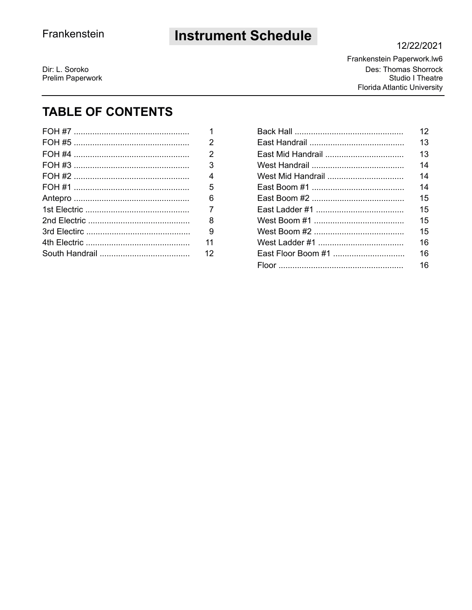## **Instrument Schedule**

#### 12/22/2021

Dir: L. Soroko Prelim Paperwork Frankenstein Paperwork.lw6 Des: Thomas Shorrock Studio I Theatre **Florida Atlantic University** 

## **TABLE OF CONTENTS**

| 2  |
|----|
|    |
| 2  |
| 3  |
| 4  |
| 5  |
| 6  |
| 7  |
| 8  |
| 9  |
| 11 |
| 12 |

|                    | 12 |
|--------------------|----|
|                    | 13 |
|                    | 13 |
|                    | 14 |
|                    | 14 |
|                    | 14 |
|                    | 15 |
|                    | 15 |
|                    | 15 |
|                    | 15 |
|                    | 16 |
| East Floor Boom #1 | 16 |
|                    | 16 |
|                    |    |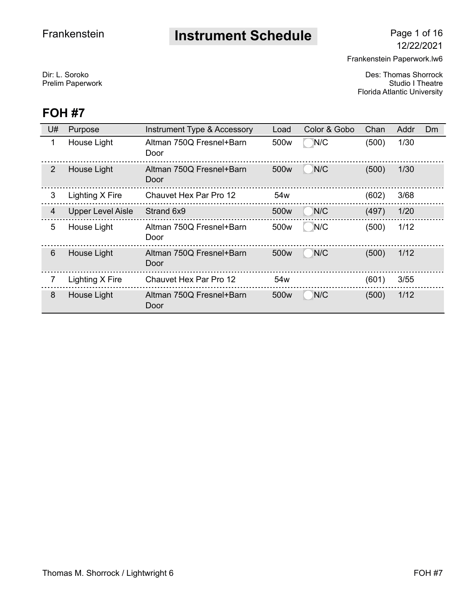# **Instrument Schedule** Page 1 of 16

Frankenstein Paperwork.lw6

Dir: L. Soroko Des: Thomas Shorrock Prelim Paperwork **Studio I Theatre** Florida Atlantic University

| U#              | Purpose                  | Instrument Type & Accessory      | Load             | Color & Gobo | Chan  | Addr | <b>Dm</b> |
|-----------------|--------------------------|----------------------------------|------------------|--------------|-------|------|-----------|
| 1               | House Light              | Altman 750Q Fresnel+Barn<br>Door | 500 <sub>w</sub> | N/C          | (500) | 1/30 |           |
| 2               | House Light              | Altman 750Q Fresnel+Barn<br>Door | 500w             | N/C          | (500) | 1/30 |           |
| 3               | Lighting X Fire          | Chauvet Hex Par Pro 12           | 54 <sub>w</sub>  |              | (602) | 3/68 |           |
| $\overline{4}$  | <b>Upper Level Aisle</b> | Strand 6x9                       | 500w             | N/C          | (497) | 1/20 |           |
| 5               | House Light              | Altman 750Q Fresnel+Barn<br>Door | 500w             | N/C          | (500) | 1/12 |           |
| $6\phantom{1}6$ | House Light              | Altman 750Q Fresnel+Barn<br>Door | 500w             | N/C          | (500) | 1/12 |           |
|                 | Lighting X Fire          | <b>Chauvet Hex Par Pro 12</b>    | 54 <sub>w</sub>  |              | (601) | 3/55 |           |
| 8               | House Light              | Altman 750Q Fresnel+Barn<br>Door | 500w             | N/C          | (500) | 1/12 |           |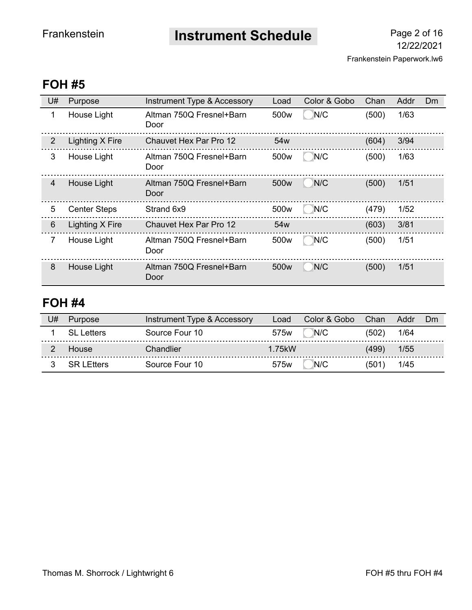**Instrument Schedule** Page 2 of 16

## **FOH #5**

| U#             | Purpose             | Instrument Type & Accessory      | Load             | Color & Gobo | Chan  | Addr | Dm |
|----------------|---------------------|----------------------------------|------------------|--------------|-------|------|----|
| 1              | House Light         | Altman 750Q Fresnel+Barn<br>Door | 500w             | N/C          | (500) | 1/63 |    |
| 2              | Lighting X Fire     | Chauvet Hex Par Pro 12           | 54w              |              | (604) | 3/94 |    |
| 3              | House Light         | Altman 750Q Fresnel+Barn<br>Door | 500 <sub>w</sub> | N/C          | (500) | 1/63 |    |
| $\overline{4}$ | House Light         | Altman 750Q Fresnel+Barn<br>Door | 500 <sub>w</sub> | N/C          | (500) | 1/51 |    |
| 5              | <b>Center Steps</b> | Strand 6x9                       | 500 <sub>w</sub> | N/C          | (479) | 1/52 |    |
| 6              | Lighting X Fire     | <b>Chauvet Hex Par Pro 12</b>    | 54 <sub>w</sub>  |              | (603) | 3/81 |    |
| 7              | House Light         | Altman 750Q Fresnel+Barn<br>Door | 500 <sub>w</sub> | N/C          | (500) | 1/51 |    |
| 8              | <b>House Light</b>  | Altman 750Q Fresnel+Barn<br>Door | 500 <sub>w</sub> | N/C          | (500) | 1/51 |    |

| J# | <b>Purpose</b>      | Instrument Type & Accessory | Load             | Color & Gobo | Chan  | Addr | Dm |
|----|---------------------|-----------------------------|------------------|--------------|-------|------|----|
|    | SL Letters          | Source Four 10              | 575w             | N/C          | (502) | 1/64 |    |
|    | House               | Chandlier                   | 1 75kW           |              | (499) | 1/55 |    |
|    | <b>SRIF</b> Fitters | Source Four 10              | 575 <sub>w</sub> | N/C          | (501) | 1/45 |    |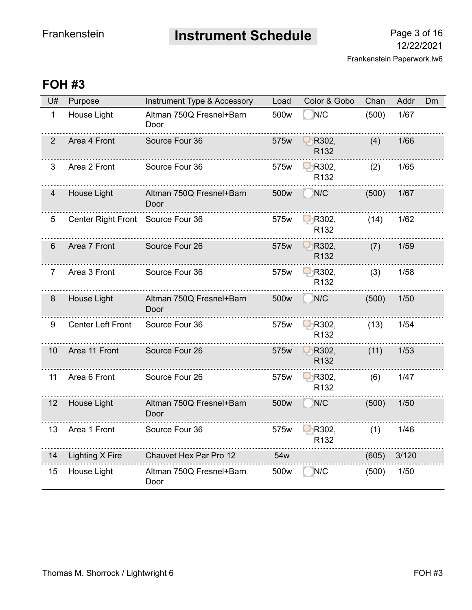**Instrument Schedule** Page 3 of 16

| U#             | Purpose                           | Instrument Type & Accessory      | Load             | Color & Gobo              | Chan  | Addr  | <b>Dm</b> |
|----------------|-----------------------------------|----------------------------------|------------------|---------------------------|-------|-------|-----------|
| $\mathbf{1}$   | House Light                       | Altman 750Q Fresnel+Barn<br>Door | 500 <sub>w</sub> | N/C                       | (500) | 1/67  |           |
| $\overline{2}$ | Area 4 Front                      | Source Four 36                   | 575w             | R302,<br>R <sub>132</sub> | (4)   | 1/66  |           |
| 3              | Area 2 Front                      | Source Four 36                   | 575w             | R302,<br>R132             | (2)   | 1/65  |           |
| $\overline{4}$ | House Light                       | Altman 750Q Fresnel+Barn<br>Door | 500 <sub>w</sub> | N/C                       | (500) | 1/67  |           |
| 5              | Center Right Front Source Four 36 |                                  | 575w             | R302,<br>R <sub>132</sub> | (14)  | 1/62  |           |
| 6              | Area 7 Front                      | Source Four 26                   | 575w             | R302,<br>R132             | (7)   | 1/59  |           |
| 7              | Area 3 Front                      | Source Four 36                   | 575w             | R302,<br>R <sub>132</sub> | (3)   | 1/58  |           |
| 8              | House Light                       | Altman 750Q Fresnel+Barn<br>Door | 500 <sub>w</sub> | N/C                       | (500) | 1/50  |           |
| 9              | <b>Center Left Front</b>          | Source Four 36                   | 575w             | R302,<br>R132             | (13)  | 1/54  |           |
| 10             | Area 11 Front                     | Source Four 26                   | 575w             | R302,<br>R132             | (11)  | 1/53  |           |
| 11             | Area 6 Front                      | Source Four 26                   | 575w             | R302,<br>R <sub>132</sub> | (6)   | 1/47  |           |
| 12             | House Light                       | Altman 750Q Fresnel+Barn<br>Door | 500 <sub>w</sub> | N/C                       | (500) | 1/50  |           |
| 13             | Area 1 Front                      | Source Four 36                   | 575w             | R302,<br>R132             | (1)   | 1/46  |           |
| 14             | <b>Lighting X Fire</b>            | Chauvet Hex Par Pro 12           | 54w              |                           | (605) | 3/120 |           |
| 15             | House Light                       | Altman 750Q Fresnel+Barn<br>Door | 500w             | N/C                       | (500) | 1/50  |           |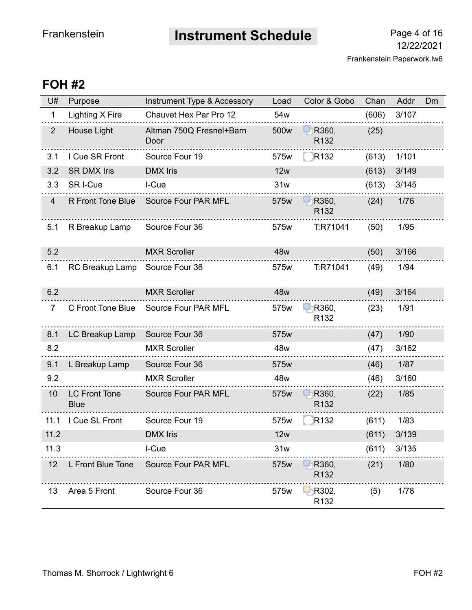**Instrument Schedule** Page 4 of 16

| U#             | Purpose                             | Instrument Type & Accessory      | Load | Color & Gobo                         | Chan  | Addr  | Dm |
|----------------|-------------------------------------|----------------------------------|------|--------------------------------------|-------|-------|----|
| $\mathbf 1$    | Lighting X Fire                     | Chauvet Hex Par Pro 12           | 54w  |                                      | (606) | 3/107 |    |
| $2^{\circ}$    | House Light                         | Altman 750Q Fresnel+Barn<br>Door | 500w | R360,<br>R <sub>132</sub>            | (25)  |       |    |
| 3.1            | I Cue SR Front                      | Source Four 19                   | 575w | R <sub>132</sub>                     | (613) | 1/101 |    |
| 3.2            | <b>SR DMX Iris</b>                  | <b>DMX</b> Iris                  | 12w  |                                      | (613) | 3/149 |    |
| 3.3            | SR I-Cue                            | I-Cue                            | 31w  |                                      | (613) | 3/145 |    |
| $\overline{4}$ | <b>R Front Tone Blue</b>            | Source Four PAR MFL              | 575w | R360,<br>R <sub>132</sub>            | (24)  | 1/76  |    |
| 5.1            | R Breakup Lamp                      | Source Four 36                   | 575w | T:R71041                             | (50)  | 1/95  |    |
| 5.2            |                                     | <b>MXR Scroller</b>              | 48w  |                                      | (50)  | 3/166 |    |
| 6.1            | RC Breakup Lamp                     | Source Four 36                   | 575w | T:R71041                             | (49)  | 1/94  |    |
| 6.2            |                                     | <b>MXR Scroller</b>              | 48w  |                                      | (49)  | 3/164 |    |
| $\overline{7}$ | C Front Tone Blue                   | Source Four PAR MFL              | 575w | $\bigcirc$ R360,<br>R <sub>132</sub> | (23)  | 1/91  |    |
| 8.1            | LC Breakup Lamp                     | Source Four 36                   | 575w |                                      | (47)  | 1/90  |    |
| 8.2            |                                     | <b>MXR Scroller</b>              | 48w  |                                      | (47)  | 3/162 |    |
| 9.1            | L Breakup Lamp                      | Source Four 36                   | 575w |                                      | (46)  | 1/87  |    |
| 9.2            |                                     | <b>MXR Scroller</b>              | 48w  |                                      | (46)  | 3/160 |    |
| 10             | <b>LC Front Tone</b><br><b>Blue</b> | Source Four PAR MFL              | 575w | R360,<br>R <sub>132</sub>            | (22)  | 1/85  |    |
| 11.1           | I Cue SL Front                      | Source Four 19                   | 575w | R <sub>132</sub>                     | (611) | 1/83  |    |
| 11.2           |                                     | <b>DMX</b> Iris                  | 12w  |                                      | (611) | 3/139 |    |
| 11.3           |                                     | I-Cue                            | 31w  |                                      | (611) | 3/135 |    |
| 12             | L Front Blue Tone                   | Source Four PAR MFL              | 575w | R360,<br>R132                        | (21)  | 1/80  |    |
| 13             | Area 5 Front                        | Source Four 36                   | 575w | R302,<br>R132                        | (5)   | 1/78  |    |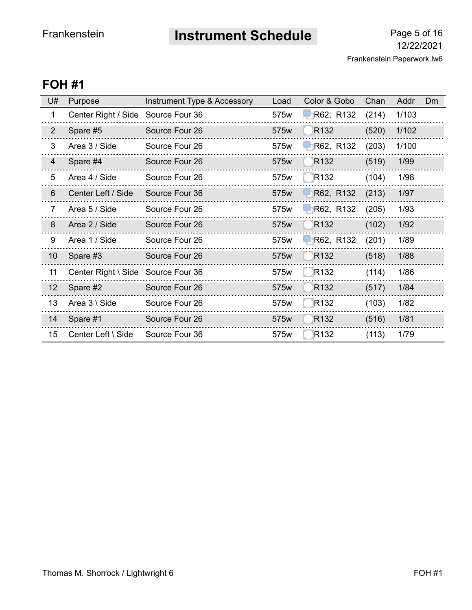**Instrument Schedule** Page 5 of 16

Frankenstein Paperwork.lw6 12/22/2021

| U#             | Purpose                            | Instrument Type & Accessory | Load | Color & Gobo     | Chan  | Addr  | <b>Dm</b> |
|----------------|------------------------------------|-----------------------------|------|------------------|-------|-------|-----------|
| 1              | Center Right / Side                | Source Four 36              | 575w | R62, R132        | (214) | 1/103 |           |
| $\overline{2}$ | Spare #5                           | Source Four 26              | 575w | R <sub>132</sub> | (520) | 1/102 |           |
| 3              | Area 3 / Side                      | Source Four 26              | 575w | R62, R132        | (203) | 1/100 |           |
| $\overline{4}$ | Spare #4                           | Source Four 26              | 575w | R <sub>132</sub> | (519) | 1/99  |           |
| 5              | Area 4 / Side                      | Source Four 26              | 575w | R <sub>132</sub> | (104) | 1/98  |           |
| $6\phantom{1}$ | Center Left / Side                 | Source Four 36              | 575w | R62, R132        | (213) | 1/97  |           |
| $\overline{7}$ | Area 5 / Side                      | Source Four 26              | 575w | R62, R132        | (205) | 1/93  |           |
| 8              | Area 2 / Side                      | Source Four 26              | 575w | R <sub>132</sub> | (102) | 1/92  |           |
| 9              | Area 1 / Side                      | Source Four 26              | 575w | R62, R132        | (201) | 1/89  |           |
| 10             | Spare #3                           | Source Four 26              | 575w | R <sub>132</sub> | (518) | 1/88  |           |
| 11             | Center Right \ Side Source Four 36 |                             | 575w | R <sub>132</sub> | (114) | 1/86  |           |
| 12             | Spare #2                           | Source Four 26              | 575w | R <sub>132</sub> | (517) | 1/84  |           |
| 13             | Area 3 \ Side                      | Source Four 26              | 575w | R <sub>132</sub> | (103) | 1/82  |           |
| 14             | Spare #1                           | Source Four 26              | 575w | R <sub>132</sub> | (516) | 1/81  |           |
| 15             | Center Left \ Side                 | Source Four 36              | 575w | R <sub>132</sub> | (113) | 1/79  |           |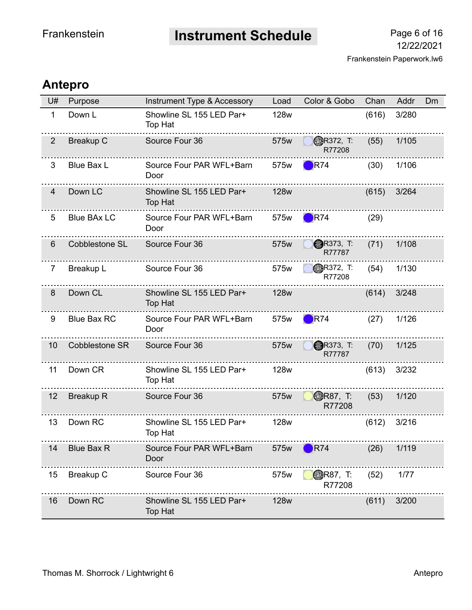**Instrument Schedule** Page 6 of 16

## **Antepro**

| U#             | Purpose               | Instrument Type & Accessory                | Load        | Color & Gobo               | Chan  | Addr  | <b>Dm</b> |
|----------------|-----------------------|--------------------------------------------|-------------|----------------------------|-------|-------|-----------|
| $\mathbf{1}$   | Down L                | Showline SL 155 LED Par+<br>Top Hat        | <b>128w</b> |                            | (616) | 3/280 |           |
| $\overline{2}$ | <b>Breakup C</b>      | Source Four 36                             | 575w        | <b>PR372, T:</b><br>R77208 | (55)  | 1/105 |           |
| 3              | <b>Blue Bax L</b>     | Source Four PAR WFL+Barn<br>Door           | 575w        | $\blacksquare$ R74         | (30)  | 1/106 |           |
| 4              | Down LC               | Showline SL 155 LED Par+<br>Top Hat        | <b>128w</b> |                            | (615) | 3/264 |           |
| 5              | <b>Blue BAx LC</b>    | Source Four PAR WFL+Barn<br>Door           | 575w        | R74                        | (29)  |       |           |
| 6              | <b>Cobblestone SL</b> | Source Four 36                             | 575w        | <b>R373, T:</b><br>R77787  | (71)  | 1/108 |           |
| 7              | Breakup L             | Source Four 36                             | 575w        | <b>BR372, T:</b><br>R77208 | (54)  | 1/130 |           |
| 8              | Down CL               | Showline SL 155 LED Par+<br><b>Top Hat</b> | <b>128w</b> |                            | (614) | 3/248 |           |
| 9              | <b>Blue Bax RC</b>    | Source Four PAR WFL+Barn<br>Door           | 575w        | <b>R74</b>                 | (27)  | 1/126 |           |
| 10             | <b>Cobblestone SR</b> | Source Four 36                             | 575w        | <b>R373, T:</b><br>R77787  | (70)  | 1/125 |           |
| 11             | Down CR               | Showline SL 155 LED Par+<br>Top Hat        | 128w        |                            | (613) | 3/232 |           |
| 12             | <b>Breakup R</b>      | Source Four 36                             | 575w        | <b>OBR87, T:</b><br>R77208 | (53)  | 1/120 |           |
| 13             | Down RC               | Showline SL 155 LED Par+<br>Top Hat        | <b>128w</b> |                            | (612) | 3/216 |           |
| 14             | <b>Blue Bax R</b>     | Source Four PAR WFL+Barn<br>Door           | 575w        | R74                        | (26)  | 1/119 |           |
| 15             | <b>Breakup C</b>      | Source Four 36                             | 575w        | <b>ODR87, T:</b><br>R77208 | (52)  | 1/77  |           |
| 16             | Down RC               | Showline SL 155 LED Par+<br>Top Hat        | <b>128w</b> |                            | (611) | 3/200 |           |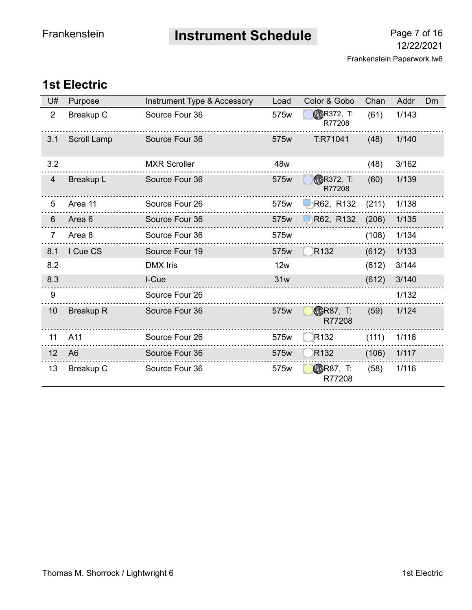**Instrument Schedule** Page 7 of 16

## **1st Electric**

| U#             | Purpose          | Instrument Type & Accessory | Load | Color & Gobo                | Chan  | Addr  | <b>Dm</b> |
|----------------|------------------|-----------------------------|------|-----------------------------|-------|-------|-----------|
| $\overline{2}$ | <b>Breakup C</b> | Source Four 36              | 575w | <b>GDR372, T:</b><br>R77208 | (61)  | 1/143 |           |
| 3.1            | Scroll Lamp      | Source Four 36              | 575w | T:R71041                    | (48)  | 1/140 |           |
| 3.2            |                  | <b>MXR Scroller</b>         | 48w  |                             | (48)  | 3/162 |           |
| $\overline{4}$ | <b>Breakup L</b> | Source Four 36              | 575w | <b>BR372, T:</b><br>R77208  | (60)  | 1/139 |           |
| 5              | Area 11          | Source Four 26              | 575w | R62, R132                   | (211) | 1/138 |           |
| 6              | Area 6           | Source Four 36              | 575w | R62, R132                   | (206) | 1/135 |           |
| $\overline{7}$ | Area 8           | Source Four 36              | 575w |                             | (108) | 1/134 |           |
| 8.1            | I Cue CS         | Source Four 19              | 575w | R <sub>132</sub>            | (612) | 1/133 |           |
| 8.2            |                  | <b>DMX</b> Iris             | 12w  |                             | (612) | 3/144 |           |
| 8.3            |                  | I-Cue                       | 31w  |                             | (612) | 3/140 |           |
| 9              |                  | Source Four 26              |      |                             |       | 1/132 |           |
| 10             | <b>Breakup R</b> | Source Four 36              | 575w | <b>ODR87, T:</b><br>R77208  | (59)  | 1/124 |           |
| 11             | A11              | Source Four 26              | 575w | R <sub>132</sub>            | (111) | 1/118 |           |
| 12             | A <sub>6</sub>   | Source Four 36              | 575w | R <sub>132</sub>            | (106) | 1/117 |           |
| 13             | Breakup C        | Source Four 36              | 575w | <b>BR87, T:</b><br>R77208   | (58)  | 1/116 |           |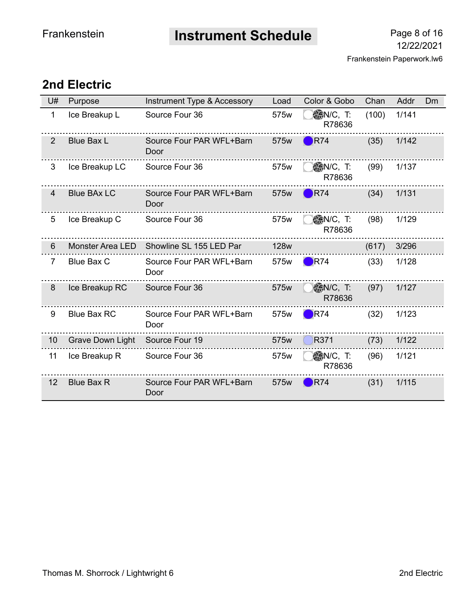**Instrument Schedule** Page 8 of 16

## **2nd Electric**

| U#             | Purpose                 | Instrument Type & Accessory      | Load        | Color & Gobo               | Chan  | Addr  | <b>Dm</b> |
|----------------|-------------------------|----------------------------------|-------------|----------------------------|-------|-------|-----------|
| 1              | Ice Breakup L           | Source Four 36                   | 575w        | ◎N/C, T:<br>R78636         | (100) | 1/141 |           |
| $\overline{2}$ | <b>Blue Bax L</b>       | Source Four PAR WFL+Barn<br>Door | 575w        | R74                        | (35)  | 1/142 |           |
| 3              | Ice Breakup LC          | Source Four 36                   | 575w        | <b>◎N/C, T:</b><br>R78636  | (99)  | 1/137 |           |
| 4              | <b>Blue BAx LC</b>      | Source Four PAR WFL+Barn<br>Door | 575w        | R74                        | (34)  | 1/131 |           |
| 5              | Ice Breakup C           | Source Four 36                   | 575w        | <b>SAN/C, T:</b><br>R78636 | (98)  | 1/129 |           |
| 6              | <b>Monster Area LED</b> | Showline SL 155 LED Par          | <b>128w</b> |                            | (617) | 3/296 |           |
| $\overline{7}$ | <b>Blue Bax C</b>       | Source Four PAR WFL+Barn<br>Door | 575w        | $\blacksquare$ R74         | (33)  | 1/128 |           |
| 8              | Ice Breakup RC          | Source Four 36                   | 575w        | ◎N/C, T:<br>R78636         | (97)  | 1/127 |           |
| 9              | <b>Blue Bax RC</b>      | Source Four PAR WFL+Barn<br>Door | 575w        | R74                        | (32)  | 1/123 |           |
| 10             | <b>Grave Down Light</b> | Source Four 19                   | 575w        | R371                       | (73)  | 1/122 |           |
| 11             | Ice Breakup R           | Source Four 36                   | 575w        | <b>◎N/C, T:</b><br>R78636  | (96)  | 1/121 |           |
| 12             | <b>Blue Bax R</b>       | Source Four PAR WFL+Barn<br>Door | 575w        | R74                        | (31)  | 1/115 |           |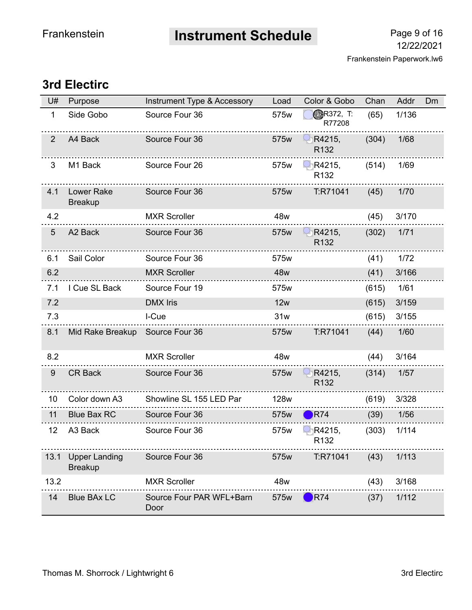**Instrument Schedule** Page 9 of 16

## **3rd Electirc**

| U#             | Purpose                                | Instrument Type & Accessory      | Load        | Color & Gobo               | Chan  | Addr   | Dm |
|----------------|----------------------------------------|----------------------------------|-------------|----------------------------|-------|--------|----|
| 1              | Side Gobo                              | Source Four 36                   | 575w        | <b>BR372, T:</b><br>R77208 | (65)  | 1/136  |    |
| $\overline{2}$ | A4 Back                                | Source Four 36                   | 575w        | R4215,<br>R <sub>132</sub> | (304) | 1/68   |    |
| 3              | M1 Back                                | Source Four 26                   | 575w        | R4215,<br>R132             | (514) | 1/69   |    |
| 4.1            | <b>Lower Rake</b><br><b>Breakup</b>    | Source Four 36                   | 575w        | T:R71041                   | (45)  | 1/70   |    |
| 4.2            |                                        | <b>MXR Scroller</b>              | 48w         |                            | (45)  | 3/170  |    |
| $\sqrt{5}$     | A <sub>2</sub> Back                    | Source Four 36                   | 575w        | R4215,<br>R <sub>132</sub> | (302) | $1/71$ |    |
| 6.1            | Sail Color                             | Source Four 36                   | 575w        |                            | (41)  | 1/72   |    |
| 6.2            |                                        | <b>MXR Scroller</b>              | 48w         |                            | (41)  | 3/166  |    |
| 7.1            | I Cue SL Back                          | Source Four 19                   | 575w        |                            | (615) | 1/61   |    |
| 7.2            |                                        | <b>DMX</b> Iris                  | 12w         |                            | (615) | 3/159  |    |
| 7.3            |                                        | I-Cue                            | 31w         |                            | (615) | 3/155  |    |
| 8.1            | Mid Rake Breakup                       | Source Four 36                   | 575w        | T:R71041                   | (44)  | 1/60   |    |
| 8.2            |                                        | <b>MXR Scroller</b>              | 48w         |                            | (44)  | 3/164  |    |
| 9              | <b>CR Back</b>                         | Source Four 36                   | 575w        | R4215,<br>R132             | (314) | 1/57   |    |
| 10             | Color down A3                          | Showline SL 155 LED Par          | <b>128w</b> |                            | (619) | 3/328  |    |
| 11             | <b>Blue Bax RC</b>                     | Source Four 36                   | 575w        | R74                        | (39)  | 1/56   |    |
| 12             | A3 Back                                | Source Four 36                   | 575w        | R4215,<br>R132             | (303) | 1/114  |    |
| 13.1           | <b>Upper Landing</b><br><b>Breakup</b> | Source Four 36                   | 575w        | T:R71041                   | (43)  | 1/113  |    |
| 13.2           |                                        | <b>MXR Scroller</b>              | 48w         |                            | (43)  | 3/168  |    |
| 14             | <b>Blue BAx LC</b>                     | Source Four PAR WFL+Barn<br>Door | 575w        | R74                        | (37)  | 1/112  |    |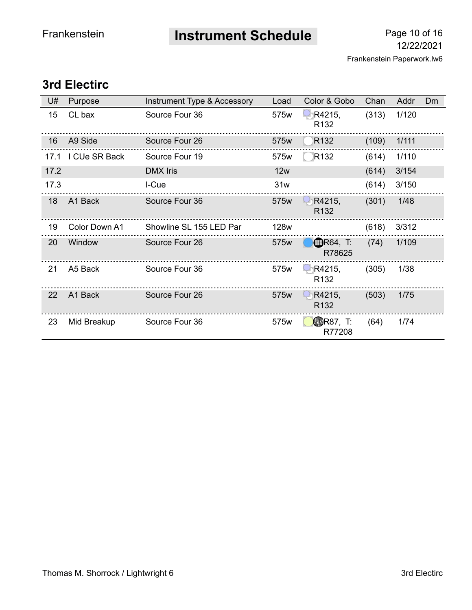**Instrument Schedule** Page 10 of 16

## **3rd Electirc**

| U#   | Purpose       | Instrument Type & Accessory | Load        | Color & Gobo               | Chan  | Addr  | <b>Dm</b> |
|------|---------------|-----------------------------|-------------|----------------------------|-------|-------|-----------|
| 15   | CL bax        | Source Four 36              | 575w        | R4215,<br>R <sub>132</sub> | (313) | 1/120 |           |
| 16   | A9 Side       | Source Four 26              | 575w        | R <sub>132</sub>           | (109) | 1/111 |           |
| 17.1 | I CUe SR Back | Source Four 19              | 575w        | R <sub>132</sub>           | (614) | 1/110 |           |
| 17.2 |               | <b>DMX</b> Iris             | 12w         |                            | (614) | 3/154 |           |
| 17.3 |               | I-Cue                       | 31w         |                            | (614) | 3/150 |           |
| 18   | A1 Back       | Source Four 36              | 575w        | R4215.<br>R <sub>132</sub> | (301) | 1/48  |           |
| 19   | Color Down A1 | Showline SL 155 LED Par     | <b>128w</b> |                            | (618) | 3/312 |           |
| 20   | Window        | Source Four 26              | 575w        | <b>OR64, T:</b><br>R78625  | (74)  | 1/109 |           |
| 21   | A5 Back       | Source Four 36              | 575w        | R4215,<br>R <sub>132</sub> | (305) | 1/38  |           |
| 22   | A1 Back       | Source Four 26              | 575w        | R4215,<br>R <sub>132</sub> | (503) | 1/75  |           |
| 23   | Mid Breakup   | Source Four 36              | 575w        | <b>ODR87, T:</b><br>R77208 | (64)  | 1/74  |           |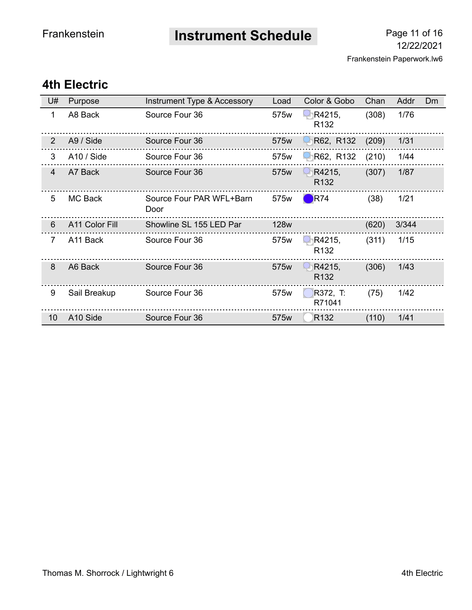**Instrument Schedule** Page 11 of 16

## **4th Electric**

| U#             | Purpose        | Instrument Type & Accessory      | Load        | Color & Gobo               | Chan  | Addr  | <b>Dm</b> |
|----------------|----------------|----------------------------------|-------------|----------------------------|-------|-------|-----------|
| 1              | A8 Back        | Source Four 36                   | 575w        | R4215,<br>R <sub>132</sub> | (308) | 1/76  |           |
| 2              | A9 / Side      | Source Four 36                   | 575w        | R62, R132                  | (209) | 1/31  |           |
| 3              | A10 / Side     | Source Four 36                   | 575w        | R62, R132                  | (210) | 1/44  |           |
| $\overline{4}$ | A7 Back        | Source Four 36                   | 575w        | R4215,<br>R <sub>132</sub> | (307) | 1/87  |           |
| 5              | <b>MC Back</b> | Source Four PAR WFL+Barn<br>Door | 575w        | R74                        | (38)  | 1/21  |           |
| 6              | A11 Color Fill | Showline SL 155 LED Par          | <b>128w</b> |                            | (620) | 3/344 |           |
| $\overline{7}$ | A11 Back       | Source Four 36                   | 575w        | R4215,<br>R <sub>132</sub> | (311) | 1/15  |           |
| 8              | A6 Back        | Source Four 36                   | 575w        | R4215,<br>R <sub>132</sub> | (306) | 1/43  |           |
| 9              | Sail Breakup   | Source Four 36                   | 575w        | R372, T:<br>R71041         | (75)  | 1/42  |           |
| 10             | A10 Side       | Source Four 36                   | 575w        | R <sub>132</sub>           | (110) | 1/41  |           |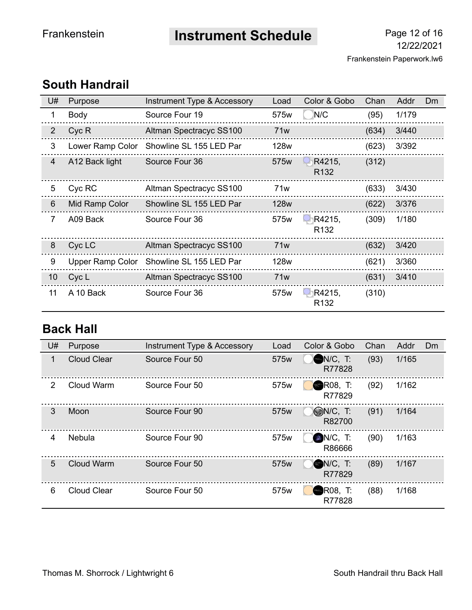**Instrument Schedule** Page 12 of 16

#### U# Purpose Instrument Type & Accessory Load Color & Gobo Chan Addr Dm 1 Body Source Four 19 575w N/C (95) 1/179 2 Cyc R Altman Spectracyc SS100 71w (634) 3/440 3 Lower Ramp Color Showline SL 155 LED Par 128w (623) 3/392 . . . . . . . . . . . . . . 4 A12 Back light Source Four 36 575w R4215, (312) R132 ............ .................. 5 Cyc RC Altman Spectracyc SS100 71w (633) 3/430 6 Mid Ramp Color Showline SL 155 LED Par 128w (622) 3/376 (309) 1/180 7 A09 Back Source Four 36 575w R1R4215, R132 . . . . . . . . . . . . . . . . . . 8 Cyc LC Altman Spectracyc SS100 71w (632) 3/420 9 Upper Ramp Color Showline SL 155 LED Par 128w (621) 3/360 . . . . . . . 10 Cyc L Altman Spectracyc SS100 71w (631) 3/410 11 A 10 Back Source Four 36 575w R1R4215, (310) R132

## **South Handrail**

## **Back Hall**

| U# | Purpose            | Instrument Type & Accessory | Load | Color & Gobo                 | Chan | Addr  | <b>Dm</b> |
|----|--------------------|-----------------------------|------|------------------------------|------|-------|-----------|
| 1  | <b>Cloud Clear</b> | Source Four 50              | 575w | $N/C$ , T:<br>R77828         | (93) | 1/165 |           |
| 2  | Cloud Warm         | Source Four 50              | 575w | <b>R08. T:</b><br>R77829     | (92) | 1/162 |           |
| 3  | Moon               | Source Four 90              | 575w | $\bigcirc$ N/C, T:<br>R82700 | (91) | 1/164 |           |
| 4  | <b>Nebula</b>      | Source Four 90              | 575w | $N/C$ , T:<br>R86666         | (90) | 1/163 |           |
| 5  | <b>Cloud Warm</b>  | Source Four 50              | 575w | $N/C$ , T:<br>R77829         | (89) | 1/167 |           |
| 6  | <b>Cloud Clear</b> | Source Four 50              | 575w | <b>R08, T:</b><br>R77828     | (88) | 1/168 |           |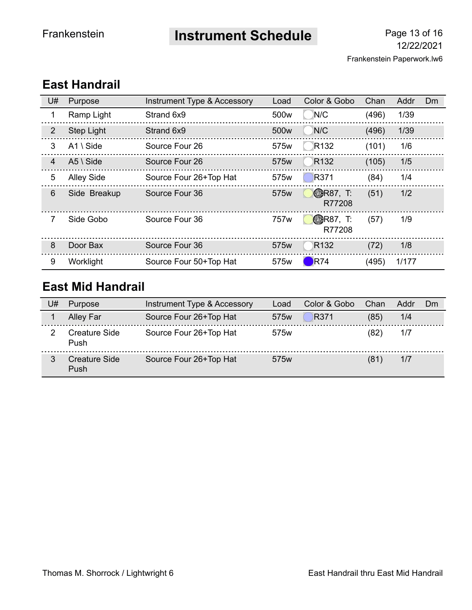**Instrument Schedule** Page 13 of 16

| U#             | Purpose             | Instrument Type & Accessory | Load             | Color & Gobo               | Chan  | Addr  | <b>Dm</b> |
|----------------|---------------------|-----------------------------|------------------|----------------------------|-------|-------|-----------|
|                | Ramp Light          | Strand 6x9                  | 500w             | N/C                        | (496) | 1/39  |           |
| 2              | Step Light          | Strand 6x9                  | 500 <sub>w</sub> | N/C                        | (496) | 1/39  |           |
| 3              | $A1 \setminus Side$ | Source Four 26              | 575w             | R <sub>132</sub>           | (101) | 1/6   |           |
| 4              | $A5 \setminus Side$ | Source Four 26              | 575w             | R <sub>132</sub>           | (105) | 1/5   |           |
| $\overline{5}$ | <b>Alley Side</b>   | Source Four 26+Top Hat      | 575w             | R371                       | (84)  | 1/4   |           |
| $6\phantom{1}$ | Side Breakup        | Source Four 36              | 575w             | <b>ODR87, T:</b><br>R77208 | (51)  | 1/2   |           |
| 7              | Side Gobo           | Source Four 36              | 757w             | <b>ODR87, T:</b><br>R77208 | (57)  | 1/9   |           |
| 8              | Door Bax            | Source Four 36              | 575w             | R <sub>132</sub>           | (72)  | 1/8   |           |
| 9              | Worklight           | Source Four 50+Top Hat      | 575w             | R74                        | (495) | 1/177 |           |

## **East Handrail**

## **East Mid Handrail**

| U# | Purpose               | Instrument Type & Accessory | Load             | Color & Gobo | Chan | Addr | Dm |
|----|-----------------------|-----------------------------|------------------|--------------|------|------|----|
|    | Alley Far             | Source Four 26+Top Hat      | 575 <sub>w</sub> | R371         | (85) | 1/4  |    |
|    | Creature Side<br>Push | Source Four 26+Top Hat      | 575w             |              | (82) | 1/7  |    |
|    | Creature Side<br>Push | Source Four 26+Top Hat      | 575 <sub>w</sub> |              | (81) | 1/7  |    |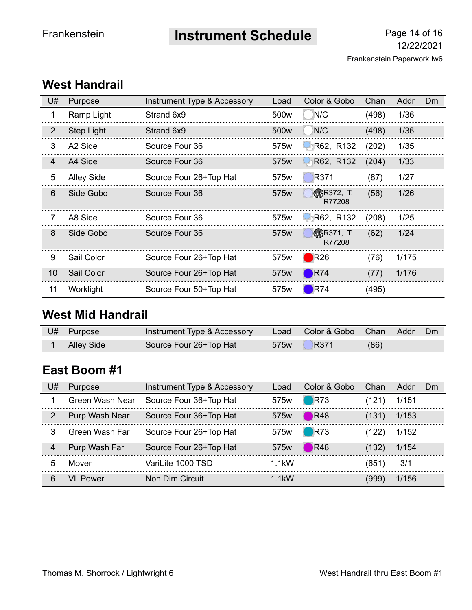**Instrument Schedule** Page 14 of 16

| U#             | Purpose           | Instrument Type & Accessory | Load | Color & Gobo                | Chan  | Addr  | <b>Dm</b> |
|----------------|-------------------|-----------------------------|------|-----------------------------|-------|-------|-----------|
| 1              | Ramp Light        | Strand 6x9                  | 500w | N/C                         | (498) | 1/36  |           |
| $\overline{2}$ | Step Light        | Strand 6x9                  | 500w | N/C                         | (498) | 1/36  |           |
| 3              | A2 Side           | Source Four 36              | 575w | R62, R132                   | (202) | 1/35  |           |
| 4              | A4 Side           | Source Four 36              | 575w | R62, R132                   | (204) | 1/33  |           |
| 5              | <b>Alley Side</b> | Source Four 26+Top Hat      | 575w | R371                        | (87)  | 1/27  |           |
| 6              | Side Gobo         | Source Four 36              | 575w | <b>BR372, T:</b><br>R77208  | (56)  | 1/26  |           |
| 7              | A8 Side           | Source Four 36              | 575w | R62, R132                   | (208) | 1/25  |           |
| 8              | Side Gobo         | Source Four 36              | 575w | <b>OBR371, T:</b><br>R77208 | (62)  | 1/24  |           |
| 9              | Sail Color        | Source Four 26+Top Hat      | 575w | $\bigtriangledown$ R26      | (76)  | 1/175 |           |
| 10             | Sail Color        | Source Four 26+Top Hat      | 575w | R74                         | (77)  | 1/176 |           |
| 11             | Worklight         | Source Four 50+Top Hat      | 575w | R74                         | (495) |       |           |

## **West Handrail**

## **West Mid Handrail**

| U# | Purpose           | Instrument Type & Accessory | Load | Color & Gobo | <b>Chan</b> | Addr | Dm |
|----|-------------------|-----------------------------|------|--------------|-------------|------|----|
|    | <b>Alley Side</b> | Source Four 26+Top Hat      | 575w | R371         | (86)        |      |    |

## **East Boom #1**

| U#             | <b>Purpose</b>  | Instrument Type & Accessory | Load             | Color & Gobo       | Chan  | Addr  | Dm |
|----------------|-----------------|-----------------------------|------------------|--------------------|-------|-------|----|
|                | Green Wash Near | Source Four 36+Top Hat      | 575 <sub>w</sub> | $\Box$ R73         | (121) | 1/151 |    |
| $\overline{2}$ | Purp Wash Near  | Source Four 36+Top Hat      | 575 <sub>w</sub> | $\blacksquare$ R48 | (131) | 1/153 |    |
| 3              | Green Wash Far  | Source Four 26+Top Hat      | 575 <sub>w</sub> | $\bigcirc$ R73     | (122) | 1/152 |    |
| 4              | Purp Wash Far   | Source Four 26+Top Hat      | 575w             | R48                | (132) | 1/154 |    |
| 5              | Mover           | VariLite 1000 TSD           | $1.1$ kW         |                    | (651) | 3/1   |    |
| 6              | VL Power        | Non Dim Circuit             | $1.1$ kW         |                    | (999) | 1/156 |    |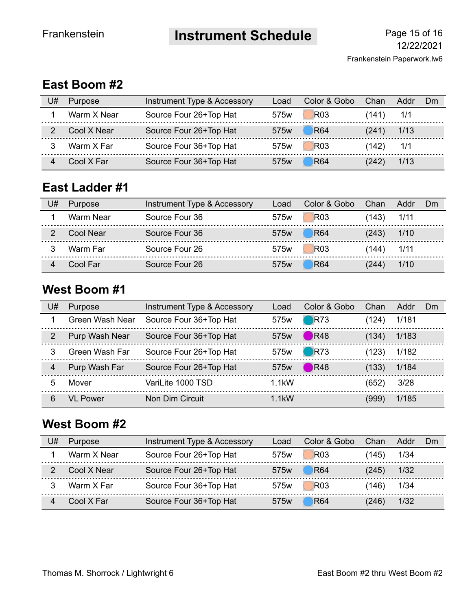**Instrument Schedule** Page 15 of 16

## **East Boom #2**

| U# | <b>Purpose</b> | Instrument Type & Accessory | Load             | Color & Gobo | Chan  | Addr | Dm |
|----|----------------|-----------------------------|------------------|--------------|-------|------|----|
|    | Warm X Near    | Source Four 26+Top Hat      | 575w             | <b>R03</b>   | (141) | 1/1  |    |
|    | Cool X Near    | Source Four 26+Top Hat      | 575w             | <b>R64</b>   | (241) | 1/13 |    |
|    | Warm X Far     | Source Four 36+Top Hat      | 575w             | <b>R03</b>   | (142) | 1/1  |    |
|    | Cool X Far     | Source Four 36+Top Hat      | 575 <sub>w</sub> | <b>R64</b>   | (242) | 1/13 |    |

## **East Ladder #1**

| U# | Purpose   | Instrument Type & Accessory | Load             | Color & Gobo   | Chan           | Addr | - Dm |
|----|-----------|-----------------------------|------------------|----------------|----------------|------|------|
|    | Warm Near | Source Four 36              | 575w             | R03            | $(143)$ $1/11$ |      |      |
|    | Cool Near | Source Four 36              | 575 <sub>w</sub> | $\bigcirc$ R64 | $(243)$ $1/10$ |      |      |
|    | Warm Far  | Source Four 26              | 575 <sub>w</sub> | <b>R03</b>     | $(144)$ $1/11$ |      |      |
|    | Cool Far  | Source Four 26              | 575 <sub>w</sub> | <b>R64</b>     | (244)          | 1/10 |      |

## **West Boom #1**

| U# | Purpose         | Instrument Type & Accessory | Load             | Color & Gobo   | Chan  | Addr  | Dm |
|----|-----------------|-----------------------------|------------------|----------------|-------|-------|----|
|    | Green Wash Near | Source Four 36+Top Hat      | 575 <sub>w</sub> | $\bigcirc$ R73 | (124) | 1/181 |    |
| 2  | Purp Wash Near  | Source Four 36+Top Hat      | 575 <sub>w</sub> | R48            | (134) | 1/183 |    |
| 3  | Green Wash Far  | Source Four 26+Top Hat      | 575 <sub>w</sub> | $\bigcirc$ R73 | (123) | 1/182 |    |
| 4  | Purp Wash Far   | Source Four 26+Top Hat      | 575 <sub>w</sub> | R48            | (133) | 1/184 |    |
| 5  | Mover           | VariLite 1000 TSD           | $1.1$ kW         |                | (652) | 3/28  |    |
| 6  | VL Power        | Non Dim Circuit             | $1.1$ kW         |                | (999) | 1/185 |    |

## **West Boom #2**

| U# | <b>Purpose</b> | Instrument Type & Accessory | Load             | Color & Gobo | Chan  | Addr | . Dm |
|----|----------------|-----------------------------|------------------|--------------|-------|------|------|
|    | Warm X Near    | Source Four 26+Top Hat      | 575w             | <b>R03</b>   | (145) | 1/34 |      |
|    | Cool X Near    | Source Four 26+Top Hat      | 575 <sub>w</sub> | <b>R64</b>   | (245) | 1/32 |      |
|    | Warm X Far     | Source Four 36+Top Hat      | 575w             | <b>R03</b>   | (146) | 1/34 |      |
|    | Cool X Far     | Source Four 36+Top Hat      | 575 <sub>w</sub> | <b>R64</b>   | (246) | 1/32 |      |